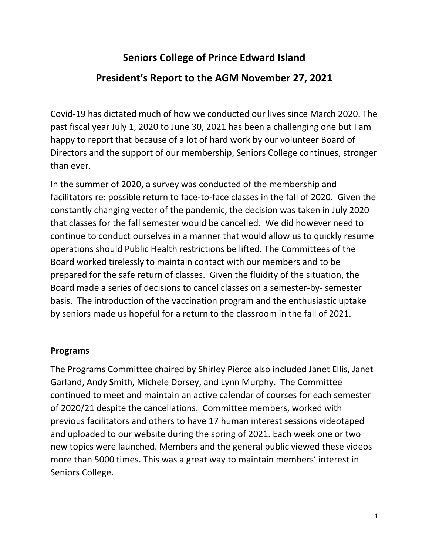# **Seniors College of Prince Edward Island President's Report to the AGM November 27, 2021**

Covid-19 has dictated much of how we conducted our lives since March 2020. The past fiscal year July 1, 2020 to June 30, 2021 has been a challenging one but I am happy to report that because of a lot of hard work by our volunteer Board of Directors and the support of our membership, Seniors College continues, stronger than ever.

In the summer of 2020, a survey was conducted of the membership and facilitators re: possible return to face-to-face classes in the fall of 2020. Given the constantly changing vector of the pandemic, the decision was taken in July 2020 that classes for the fall semester would be cancelled. We did however need to continue to conduct ourselves in a manner that would allow us to quickly resume operations should Public Health restrictions be lifted. The Committees of the Board worked tirelessly to maintain contact with our members and to be prepared for the safe return of classes. Given the fluidity of the situation, the Board made a series of decisions to cancel classes on a semester-by- semester basis. The introduction of the vaccination program and the enthusiastic uptake by seniors made us hopeful for a return to the classroom in the fall of 2021.

## **Programs**

The Programs Committee chaired by Shirley Pierce also included Janet Ellis, Janet Garland, Andy Smith, Michele Dorsey, and Lynn Murphy. The Committee continued to meet and maintain an active calendar of courses for each semester of 2020/21 despite the cancellations. Committee members, worked with previous facilitators and others to have 17 human interest sessions videotaped and uploaded to our website during the spring of 2021. Each week one or two new topics were launched. Members and the general public viewed these videos more than 5000 times. This was a great way to maintain members' interest in Seniors College.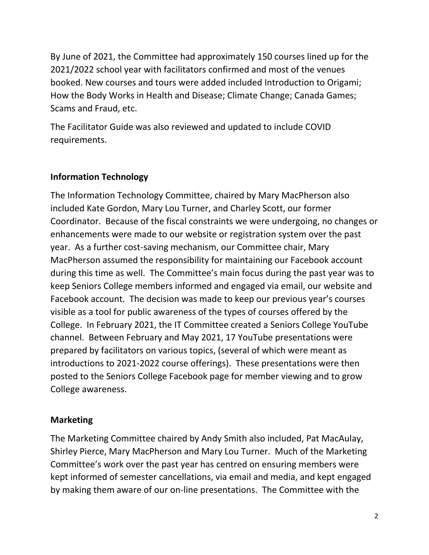By June of 2021, the Committee had approximately 150 courses lined up for the 2021/2022 school year with facilitators confirmed and most of the venues booked. New courses and tours were added included Introduction to Origami; How the Body Works in Health and Disease; Climate Change; Canada Games; Scams and Fraud, etc.

The Facilitator Guide was also reviewed and updated to include COVID requirements.

#### **Information Technology**

The Information Technology Committee, chaired by Mary MacPherson also included Kate Gordon, Mary Lou Turner, and Charley Scott, our former Coordinator. Because of the fiscal constraints we were undergoing, no changes or enhancements were made to our website or registration system over the past year. As a further cost-saving mechanism, our Committee chair, Mary MacPherson assumed the responsibility for maintaining our Facebook account during this time as well. The Committee's main focus during the past year was to keep Seniors College members informed and engaged via email, our website and Facebook account. The decision was made to keep our previous year's courses visible as a tool for public awareness of the types of courses offered by the College. In February 2021, the IT Committee created a Seniors College YouTube channel. Between February and May 2021, 17 YouTube presentations were prepared by facilitators on various topics, (several of which were meant as introductions to 2021-2022 course offerings). These presentations were then posted to the Seniors College Facebook page for member viewing and to grow College awareness.

#### **Marketing**

The Marketing Committee chaired by Andy Smith also included, Pat MacAulay, Shirley Pierce, Mary MacPherson and Mary Lou Turner. Much of the Marketing Committee's work over the past year has centred on ensuring members were kept informed of semester cancellations, via email and media, and kept engaged by making them aware of our on-line presentations. The Committee with the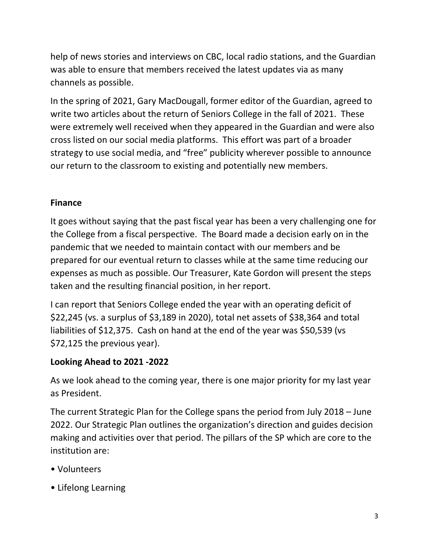help of news stories and interviews on CBC, local radio stations, and the Guardian was able to ensure that members received the latest updates via as many channels as possible.

In the spring of 2021, Gary MacDougall, former editor of the Guardian, agreed to write two articles about the return of Seniors College in the fall of 2021. These were extremely well received when they appeared in the Guardian and were also cross listed on our social media platforms. This effort was part of a broader strategy to use social media, and "free" publicity wherever possible to announce our return to the classroom to existing and potentially new members.

## **Finance**

It goes without saying that the past fiscal year has been a very challenging one for the College from a fiscal perspective. The Board made a decision early on in the pandemic that we needed to maintain contact with our members and be prepared for our eventual return to classes while at the same time reducing our expenses as much as possible. Our Treasurer, Kate Gordon will present the steps taken and the resulting financial position, in her report.

I can report that Seniors College ended the year with an operating deficit of \$22,245 (vs. a surplus of \$3,189 in 2020), total net assets of \$38,364 and total liabilities of \$12,375. Cash on hand at the end of the year was \$50,539 (vs \$72,125 the previous year).

# **Looking Ahead to 2021 -2022**

As we look ahead to the coming year, there is one major priority for my last year as President.

The current Strategic Plan for the College spans the period from July 2018 – June 2022. Our Strategic Plan outlines the organization's direction and guides decision making and activities over that period. The pillars of the SP which are core to the institution are:

- Volunteers
- Lifelong Learning